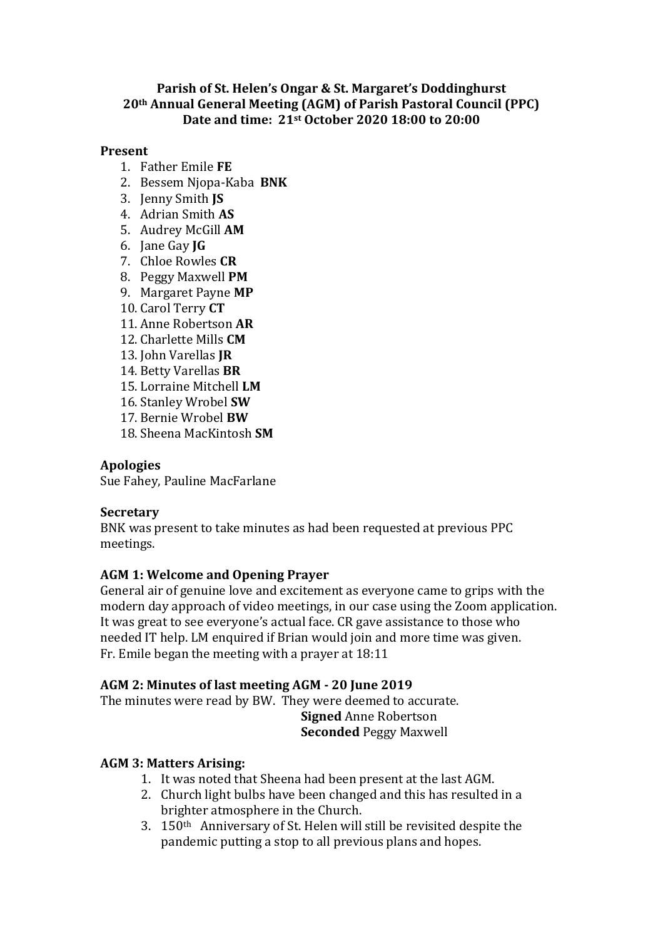### **Parish of St. Helen's Ongar & St. Margaret's Doddinghurst 20th Annual General Meeting (AGM) of Parish Pastoral Council (PPC) Date and time: 21st October 2020 18:00 to 20:00**

#### **Present**

- 1. Father Emile **FE**
- 2. Bessem Njopa-Kaba **BNK**
- 3. Jenny Smith **JS**
- 4. Adrian Smith **AS**
- 5. Audrey McGill **AM**
- 6. Jane Gay **JG**
- 7. Chloe Rowles **CR**
- 8. Peggy Maxwell **PM**
- 9. Margaret Payne **MP**
- 10. Carol Terry **CT**
- 11. Anne Robertson **AR**
- 12. Charlette Mills **CM**
- 13. John Varellas **JR**
- 14. Betty Varellas **BR**
- 15. Lorraine Mitchell **LM**
- 16. Stanley Wrobel **SW**
- 17. Bernie Wrobel **BW**
- 18. Sheena MacKintosh **SM**

### **Apologies**

Sue Fahey, Pauline MacFarlane

### **Secretary**

BNK was present to take minutes as had been requested at previous PPC meetings.

# **AGM 1: Welcome and Opening Prayer**

General air of genuine love and excitement as everyone came to grips with the modern day approach of video meetings, in our case using the Zoom application. It was great to see everyone's actual face. CR gave assistance to those who needed IT help. LM enquired if Brian would join and more time was given. Fr. Emile began the meeting with a prayer at 18:11

# **AGM 2: Minutes of last meeting AGM - 20 June 2019**

The minutes were read by BW. They were deemed to accurate. **Signed** Anne Robertson **Seconded** Peggy Maxwell

# **AGM 3: Matters Arising:**

- 1. It was noted that Sheena had been present at the last AGM.
- 2. Church light bulbs have been changed and this has resulted in a brighter atmosphere in the Church.
- 3. 150th Anniversary of St. Helen will still be revisited despite the pandemic putting a stop to all previous plans and hopes.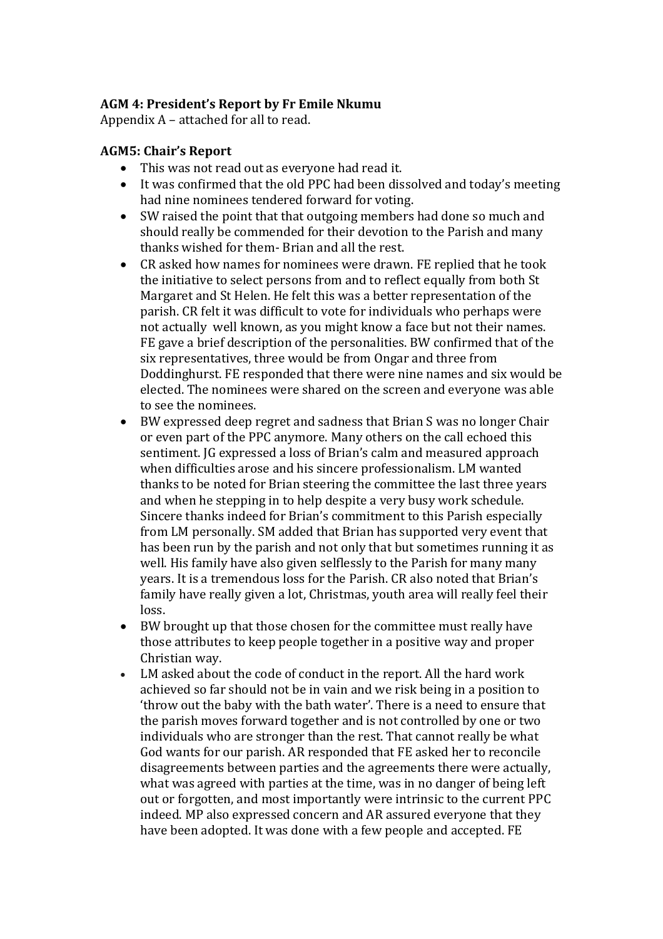### **AGM 4: President's Report by Fr Emile Nkumu**

Appendix A – attached for all to read.

### **AGM5: Chair's Report**

- This was not read out as everyone had read it.
- It was confirmed that the old PPC had been dissolved and today's meeting had nine nominees tendered forward for voting.
- SW raised the point that that outgoing members had done so much and should really be commended for their devotion to the Parish and many thanks wished for them- Brian and all the rest.
- CR asked how names for nominees were drawn. FE replied that he took the initiative to select persons from and to reflect equally from both St Margaret and St Helen. He felt this was a better representation of the parish. CR felt it was difficult to vote for individuals who perhaps were not actually well known, as you might know a face but not their names. FE gave a brief description of the personalities. BW confirmed that of the six representatives, three would be from Ongar and three from Doddinghurst. FE responded that there were nine names and six would be elected. The nominees were shared on the screen and everyone was able to see the nominees.
- BW expressed deep regret and sadness that Brian S was no longer Chair or even part of the PPC anymore. Many others on the call echoed this sentiment. JG expressed a loss of Brian's calm and measured approach when difficulties arose and his sincere professionalism. LM wanted thanks to be noted for Brian steering the committee the last three years and when he stepping in to help despite a very busy work schedule. Sincere thanks indeed for Brian's commitment to this Parish especially from LM personally. SM added that Brian has supported very event that has been run by the parish and not only that but sometimes running it as well. His family have also given selflessly to the Parish for many many years. It is a tremendous loss for the Parish. CR also noted that Brian's family have really given a lot, Christmas, youth area will really feel their loss.
- BW brought up that those chosen for the committee must really have those attributes to keep people together in a positive way and proper Christian way.
- LM asked about the code of conduct in the report. All the hard work achieved so far should not be in vain and we risk being in a position to 'throw out the baby with the bath water'. There is a need to ensure that the parish moves forward together and is not controlled by one or two individuals who are stronger than the rest. That cannot really be what God wants for our parish. AR responded that FE asked her to reconcile disagreements between parties and the agreements there were actually, what was agreed with parties at the time, was in no danger of being left out or forgotten, and most importantly were intrinsic to the current PPC indeed. MP also expressed concern and AR assured everyone that they have been adopted. It was done with a few people and accepted. FE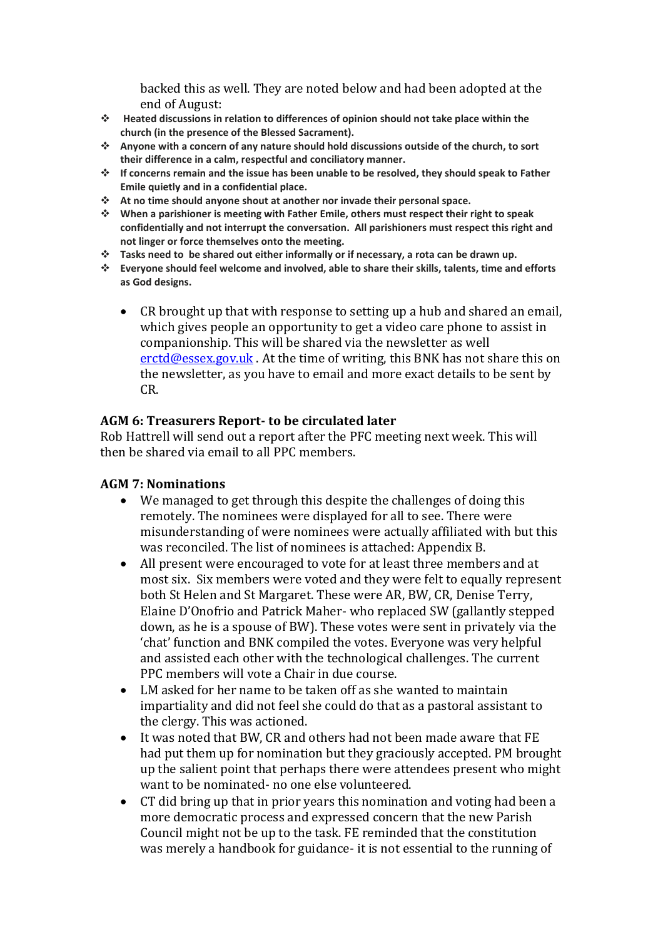backed this as well. They are noted below and had been adopted at the end of August:

- **Heated discussions in relation to differences of opinion should not take place within the church (in the presence of the Blessed Sacrament).**
- **Anyone with a concern of any nature should hold discussions outside of the church, to sort their difference in a calm, respectful and conciliatory manner.**
- **If concerns remain and the issue has been unable to be resolved, they should speak to Father Emile quietly and in a confidential place.**
- **At no time should anyone shout at another nor invade their personal space.**
- **When a parishioner is meeting with Father Emile, others must respect their right to speak confidentially and not interrupt the conversation. All parishioners must respect this right and not linger or force themselves onto the meeting.**
- **Tasks need to be shared out either informally or if necessary, a rota can be drawn up.**
- **Everyone should feel welcome and involved, able to share their skills, talents, time and efforts as God designs.** 
	- CR brought up that with response to setting up a hub and shared an email, which gives people an opportunity to get a video care phone to assist in companionship. This will be shared via the newsletter as well [erctd@essex.gov.uk](file:///C:/Users/Parish%20Office/AppData/Local/Microsoft/Windows/INetCache/Content.Outlook/8FM5O4X9/erctd@essex.gov.uk). At the time of writing, this BNK has not share this on the newsletter, as you have to email and more exact details to be sent by CR.

### **AGM 6: Treasurers Report- to be circulated later**

Rob Hattrell will send out a report after the PFC meeting next week. This will then be shared via email to all PPC members.

### **AGM 7: Nominations**

- We managed to get through this despite the challenges of doing this remotely. The nominees were displayed for all to see. There were misunderstanding of were nominees were actually affiliated with but this was reconciled. The list of nominees is attached: Appendix B.
- All present were encouraged to vote for at least three members and at most six. Six members were voted and they were felt to equally represent both St Helen and St Margaret. These were AR, BW, CR, Denise Terry, Elaine D'Onofrio and Patrick Maher- who replaced SW (gallantly stepped down, as he is a spouse of BW). These votes were sent in privately via the 'chat' function and BNK compiled the votes. Everyone was very helpful and assisted each other with the technological challenges. The current PPC members will vote a Chair in due course.
- LM asked for her name to be taken off as she wanted to maintain impartiality and did not feel she could do that as a pastoral assistant to the clergy. This was actioned.
- It was noted that BW, CR and others had not been made aware that FE had put them up for nomination but they graciously accepted. PM brought up the salient point that perhaps there were attendees present who might want to be nominated- no one else volunteered.
- CT did bring up that in prior years this nomination and voting had been a more democratic process and expressed concern that the new Parish Council might not be up to the task. FE reminded that the constitution was merely a handbook for guidance- it is not essential to the running of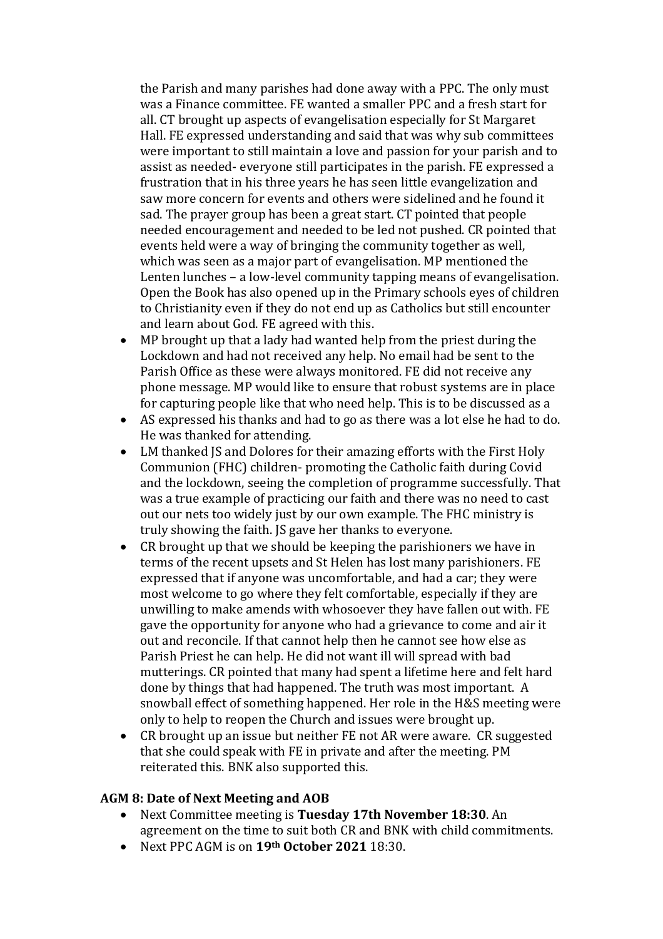the Parish and many parishes had done away with a PPC. The only must was a Finance committee. FE wanted a smaller PPC and a fresh start for all. CT brought up aspects of evangelisation especially for St Margaret Hall. FE expressed understanding and said that was why sub committees were important to still maintain a love and passion for your parish and to assist as needed- everyone still participates in the parish. FE expressed a frustration that in his three years he has seen little evangelization and saw more concern for events and others were sidelined and he found it sad. The prayer group has been a great start. CT pointed that people needed encouragement and needed to be led not pushed. CR pointed that events held were a way of bringing the community together as well, which was seen as a major part of evangelisation. MP mentioned the Lenten lunches – a low-level community tapping means of evangelisation. Open the Book has also opened up in the Primary schools eyes of children to Christianity even if they do not end up as Catholics but still encounter and learn about God. FE agreed with this.

- MP brought up that a lady had wanted help from the priest during the Lockdown and had not received any help. No email had be sent to the Parish Office as these were always monitored. FE did not receive any phone message. MP would like to ensure that robust systems are in place for capturing people like that who need help. This is to be discussed as a
- AS expressed his thanks and had to go as there was a lot else he had to do. He was thanked for attending.
- LM thanked JS and Dolores for their amazing efforts with the First Holy Communion (FHC) children- promoting the Catholic faith during Covid and the lockdown, seeing the completion of programme successfully. That was a true example of practicing our faith and there was no need to cast out our nets too widely just by our own example. The FHC ministry is truly showing the faith. JS gave her thanks to everyone.
- CR brought up that we should be keeping the parishioners we have in terms of the recent upsets and St Helen has lost many parishioners. FE expressed that if anyone was uncomfortable, and had a car; they were most welcome to go where they felt comfortable, especially if they are unwilling to make amends with whosoever they have fallen out with. FE gave the opportunity for anyone who had a grievance to come and air it out and reconcile. If that cannot help then he cannot see how else as Parish Priest he can help. He did not want ill will spread with bad mutterings. CR pointed that many had spent a lifetime here and felt hard done by things that had happened. The truth was most important. A snowball effect of something happened. Her role in the H&S meeting were only to help to reopen the Church and issues were brought up.
- CR brought up an issue but neither FE not AR were aware. CR suggested that she could speak with FE in private and after the meeting. PM reiterated this. BNK also supported this.

### **AGM 8: Date of Next Meeting and AOB**

- Next Committee meeting is **Tuesday 17th November 18:30**. An agreement on the time to suit both CR and BNK with child commitments.
- Next PPC AGM is on **19th October 2021** 18:30.